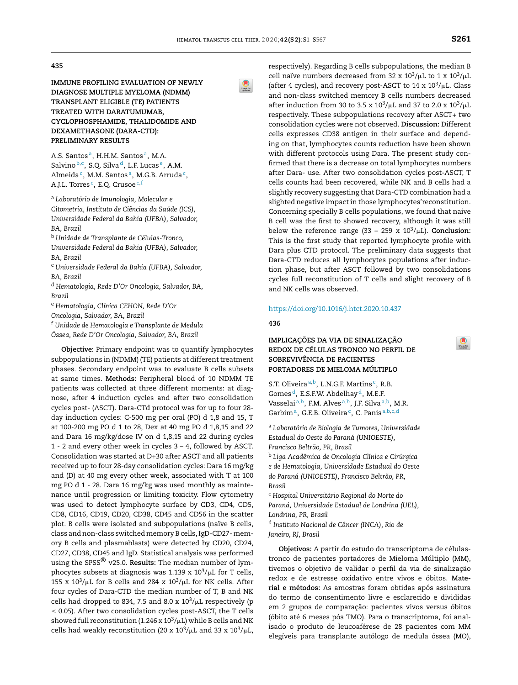### **435**

**IMMUNE PROFILING EVALUATION OF NEWLY DIAGNOSE MULTIPLE MYELOMA (NDMM) TRANSPLANT ELIGIBLE (TE) PATIENTS TREATED WITH DARATUMUMAB, CYCLOPHOSPHAMIDE, THALIDOMIDE AND DEXAMETHASONE (DARA-CTD): PRELIMINARY RESULTS**

A.S. Santos <sup>a</sup>, H.H.M. Santos <sup>a</sup>, M.A. Salvino<sup>b,c</sup>, S.Q. Silva<sup>d</sup>, L.F. Lucas<sup>e</sup>, A.M. Almeida<sup>c</sup>, M.M. Santosª, M.G.B. Arruda<sup>c</sup>, A.J.L. Torres <sup>c</sup>, E.Q. Crusoe <sup>c,f</sup>

<sup>a</sup> *Laboratório de Imunologia, Molecular e Citometria, Instituto de Ciências da Saúde (ICS), Universidade Federal da Bahia (UFBA), Salvador, BA, Brazil* <sup>b</sup> *Unidade de Transplante de Células-Tronco,*

*Universidade Federal da Bahia (UFBA), Salvador, BA, Brazil*

<sup>c</sup> *Universidade Federal da Bahia (UFBA), Salvador, BA, Brazil*

<sup>d</sup> *Hematologia, Rede D'Or Oncologia, Salvador, BA, Brazil*

<sup>e</sup> *Hematologia, Clínica CEHON, Rede D'Or Oncologia, Salvador, BA, Brazil* <sup>f</sup> *Unidade de Hematologia e Transplante de Medula*

*Óssea, Rede D'Or Oncologia, Salvador, BA, Brazil*

**Objective:** Primary endpoint was to quantify lymphocytes subpopulations in (NDMM) (TE) patients at different treatment phases. Secondary endpoint was to evaluate B cells subsets at same times. **Methods:** Peripheral blood of 10 NDMM TE patients was collected at three different moments: at diagnose, after 4 induction cycles and after two consolidation cycles post- (ASCT). Dara-CTd protocol was for up to four 28 day induction cycles: C-500 mg per oral (PO) d 1,8 and 15, T at 100-200 mg PO d 1 to 28, Dex at 40 mg PO d 1,8,15 and 22 and Dara 16 mg/kg/dose IV on d 1,8,15 and 22 during cycles 1 - 2 and every other week in cycles 3 – 4, followed by ASCT. Consolidation was started at D+30 after ASCT and all patients received up to four 28-day consolidation cycles: Dara 16 mg/kg and (D) at 40 mg every other week, associated with T at 100 mg PO d 1 - 28. Dara 16 mg/kg was used monthly as maintenance until progression or limiting toxicity. Flow cytometry was used to detect lymphocyte surface by CD3, CD4, CD5, CD8, CD16, CD19, CD20, CD38, CD45 and CD56 in the scatter plot. B cells were isolated and subpopulations (naïve B cells, class and non-class switched memory B cells, IgD-CD27- memory B cells and plasmablasts) were detected by CD20, CD24, CD27, CD38, CD45 and IgD. Statistical analysis was performed using the SPSS® v25.0. **Results:** The median number of lymphocytes subsets at diagnosis was 1.139 x  $10^3/\mu{\rm L}$  for T cells, 155 x  $10^3/\mu$ L for B cells and 284 x  $10^3/\mu$ L for NK cells. After four cycles of Dara-CTD the median number of T, B and NK cells had dropped to 834, 7.5 and 8.0 x  $10^3/\mu$ L respectively (p  $\leq$  0.05). After two consolidation cycles post-ASCT, the T cells showed full reconstitution (1.246 x 10 $^{3}/\mu$ L) while B cells and NK cells had weakly reconstitution (20 x  $10^3/\mu$ L and 33 x  $10^3/\mu$ L,

respectively). Regarding B cells subpopulations, the median B cell naïve numbers decreased from 32 x  $10^3/\mu$ L to 1 x  $10^3/\mu$ L (after 4 cycles), and recovery post-ASCT to  $14 \times 10^3/\mu$ L. Class and non-class switched memory B cells numbers decreased after induction from 30 to 3.5 x  $10^3/\mu$ L and 37 to 2.0 x  $10^3/\mu$ L respectively. These subpopulations recovery after ASCT+ two consolidation cycles were not observed. **Discussion:** Different cells expresses CD38 antigen in their surface and depending on that, lymphocytes counts reduction have been shown with different protocols using Dara. The present study confirmed that there is a decrease on total lymphocytes numbers after Dara- use. After two consolidation cycles post-ASCT, T cells counts had been recovered, while NK and B cells had a slightly recovery suggesting that Dara-CTD combination had a slighted negative impact in those lymphocytes'reconstitution. Concerning specially B cells populations, we found that naive B cell was the first to showed recovery, although it was still below the reference range (33 – 259 x 10<sup>3</sup>/µL). **Conclusion:** This is the first study that reported lymphocyte profile with Dara plus CTD protocol. The preliminary data suggests that Dara-CTD reduces all lymphocytes populations after induction phase, but after ASCT followed by two consolidations cycles full reconstitution of T cells and slight recovery of B and NK cells was observed.

#### <https://doi.org/10.1016/j.htct.2020.10.437>

**436**

## **IMPLICAC¸ ÕES DA VIA DE SINALIZAC¸ ÃO REDOX DE CÉLULAS TRONCO NO PERFIL DE SOBREVIVÊNCIA DE PACIENTES PORTADORES DE MIELOMA MÚLTIPLO**

S.T. Oliveira <sup>a, b</sup>, L.N.G.F. Martins<sup>c</sup>, R.B. Gomes<sup>d</sup>, E.S.F.W. Abdelhay<sup>d</sup>, M.E.F. Vasselai<sup>a,b</sup>, F.M. Alves<sup>a,b</sup>, J.F. Silva<sup>a,b</sup>, M.R. Garbim<sup>a</sup>, G.E.B. Oliveira<sup>c</sup>, C. Panis<sup>a,b,c,d</sup>

<sup>a</sup> *Laboratório de Biologia de Tumores, Universidade Estadual do Oeste do Paraná (UNIOESTE), Francisco Beltrão, PR, Brasil* <sup>b</sup> *Liga Acadêmica de Oncologia Clínica e Cirúrgica e de Hematologia, Universidade Estadual do Oeste do Paraná (UNIOESTE), Francisco Beltrão, PR, Brasil* <sup>c</sup> *Hospital Universitário Regional do Norte do Paraná, Universidade Estadual de Londrina (UEL), Londrina, PR, Brasil* d *Instituto Nacional de Câncer (INCA), Rio de*

*Janeiro, RJ, Brasil*

**Objetivos:** A partir do estudo do transcriptoma de célulastronco de pacientes portadores de Mieloma Múltiplo (MM), tivemos o objetivo de validar o perfil da via de sinalização redox e de estresse oxidativo entre vivos e óbitos. **Material e métodos:** As amostras foram obtidas após assinatura do termo de consentimento livre e esclarecido e divididas em 2 grupos de comparação: pacientes vivos versus óbitos (óbito até 6 meses pós TMO). Para o transcriptoma, foi analisado o produto de leucoaférese de 28 pacientes com MM elegíveis para transplante autólogo de medula óssea (MO),

 $\circledR$